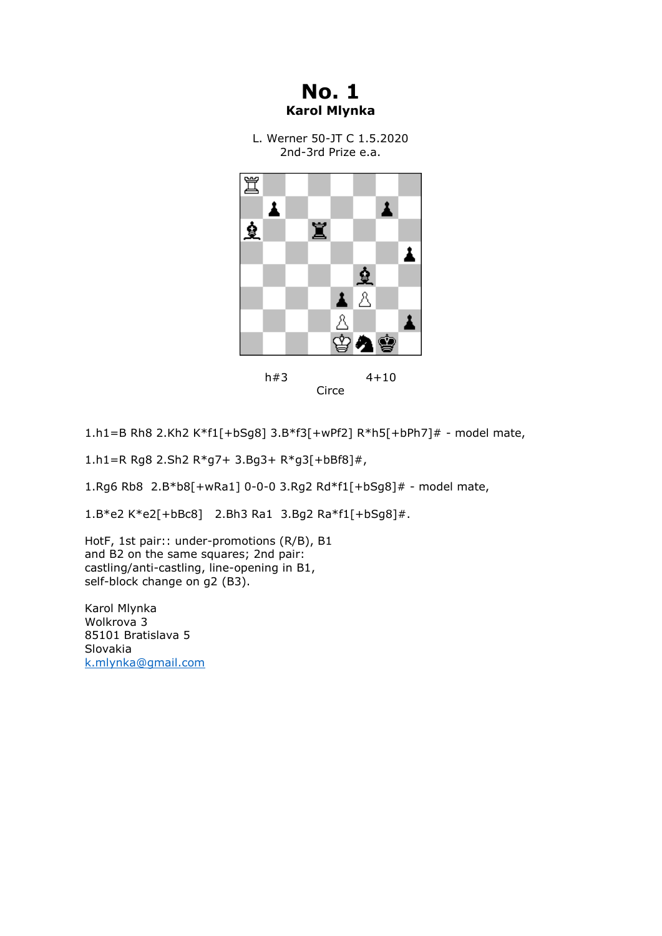**No. 1 Karol Mlynka**

L. Werner 50-JT C 1.5.2020 2nd-3rd Prize e.a.



Circe

1.h1=B Rh8 2.Kh2 K\*f1[+bSg8] 3.B\*f3[+wPf2] R\*h5[+bPh7]# - model mate,

1.h1=R Rg8 2.Sh2 R\*g7+ 3.Bg3+ R\*g3[+bBf8]#,

1.Rg6 Rb8 2.B\*b8[+wRa1] 0-0-0 3.Rg2 Rd\*f1[+bSg8]# - model mate,

1.B\*e2 K\*e2[+bBc8] 2.Bh3 Ra1 3.Bg2 Ra\*f1[+bSg8]#.

HotF, 1st pair:: under-promotions (R/B), B1 and B2 on the same squares; 2nd pair: castling/anti-castling, line-opening in B1, self-block change on q2 (B3).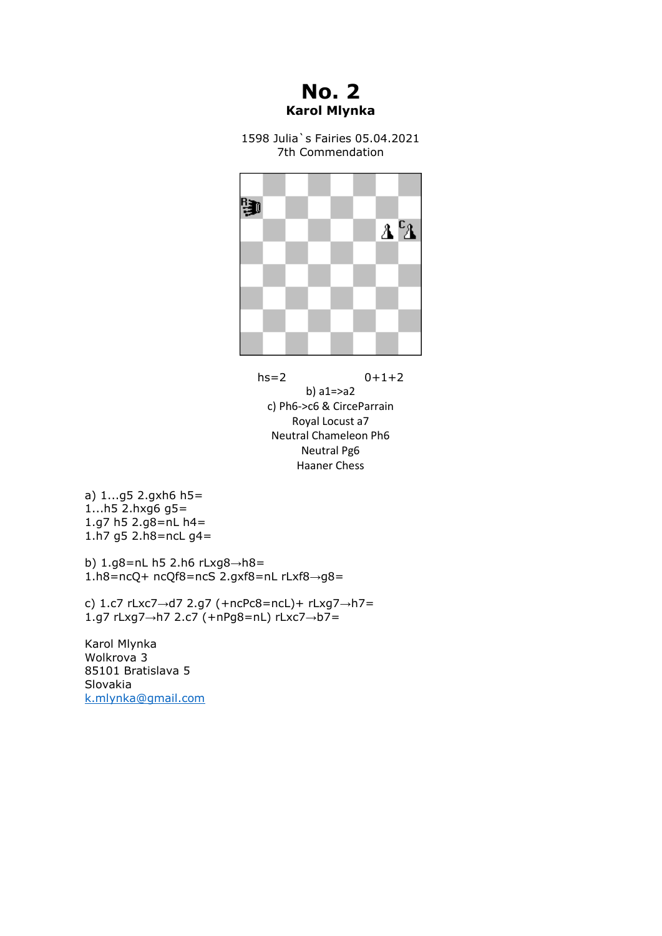**No. 2 Karol Mlynka**

1598 Julia`s Fairies 05.04.2021 7th Commendation



 $hs=2$  0+1+2 b) a1=>a2 c) Ph6->c6 & CirceParrain Royal Locust a7 Neutral Chameleon Ph6 Neutral Pg6 Haaner Chess

a) 1...g5 2.gxh6 h5= 1...h5 2.hxg6 g5= 1.g7 h5 2.g8=nL h4= 1.h7 g5 2.h8=ncL g4=

b) 1.g8=nL h5 2.h6 rLxg8→h8= 1.h8=ncQ+ ncQf8=ncS 2.gxf8=nL rLxf8→g8=

c) 1.c7 rLxc7→d7 2.g7 (+ncPc8=ncL)+ rLxg7→h7= 1.g7 rLxg7→h7 2.c7 (+nPg8=nL) rLxc7→b7=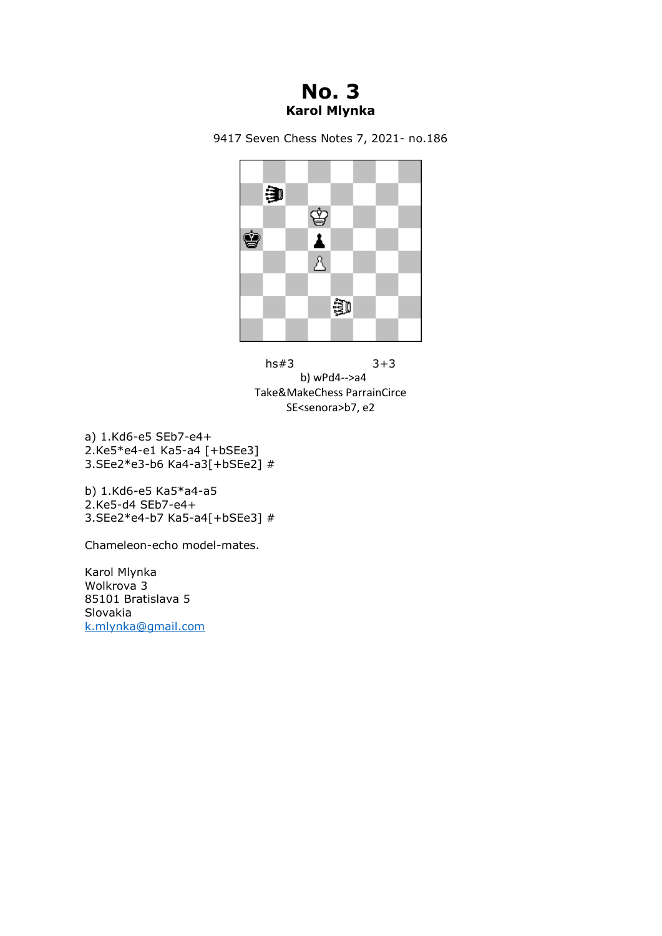## **No. 3 Karol Mlynka**







a) 1.Kd6-e5 SEb7-e4+ 2.Ke5\*e4-e1 Ka5-a4 [+bSEe3] 3.SEe2\*e3-b6 Ka4-a3[+bSEe2] #

b) 1.Kd6-e5 Ka5\*a4-a5 2.Ke5-d4 SEb7-e4+ 3.SEe2\*e4-b7 Ka5-a4[+bSEe3] #

Chameleon-echo model-mates.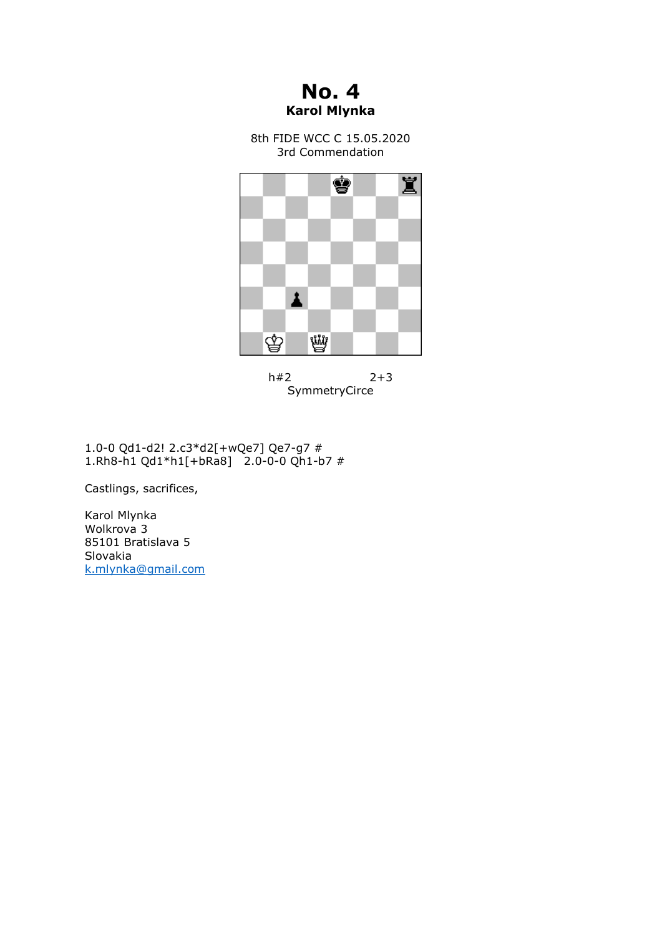**No. 4 Karol Mlynka**

8th FIDE WCC C 15.05.2020 3rd Commendation



 $h#2$  2+3 SymmetryCirce

1.0-0 Qd1-d2! 2.c3\*d2[+wQe7] Qe7-g7 # 1.Rh8-h1 Qd1\*h1[+bRa8] 2.0-0-0 Qh1-b7 #

Castlings, sacrifices,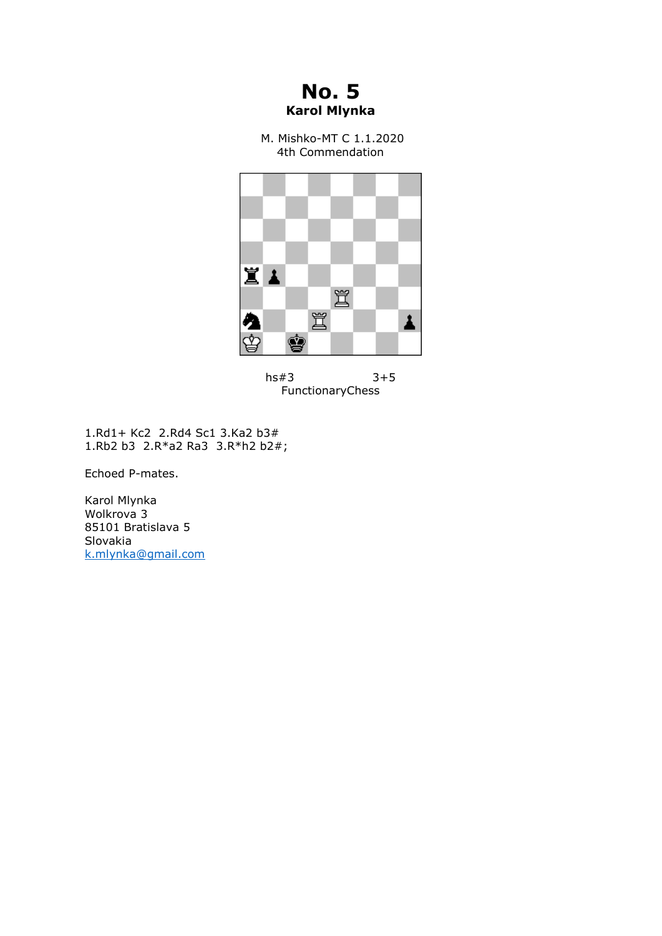

M. Mishko-MT C 1.1.2020 4th Commendation





1.Rd1+ Kc2 2.Rd4 Sc1 3.Ka2 b3# 1.Rb2 b3 2.R\*a2 Ra3 3.R\*h2 b2#;

Echoed P-mates.